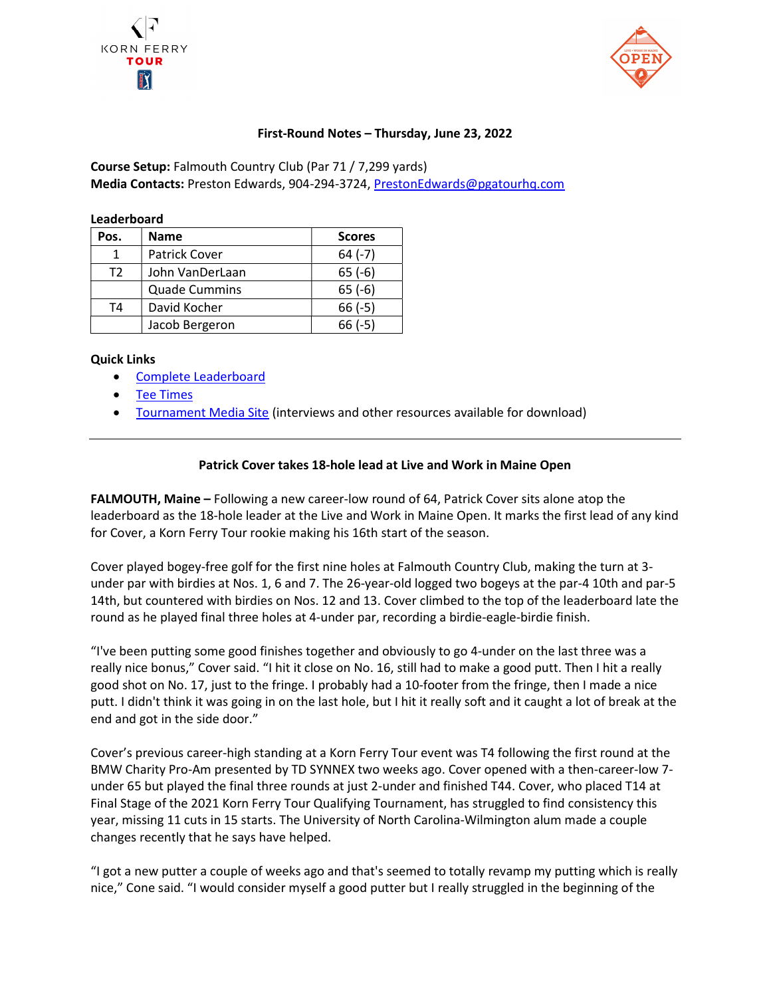



## First-Round Notes – Thursday, June 23, 2022

Course Setup: Falmouth Country Club (Par 71 / 7,299 yards) Media Contacts: Preston Edwards, 904-294-3724, PrestonEdwards@pgatourhq.com

| Leaderboard |                      |               |
|-------------|----------------------|---------------|
| Pos.        | <b>Name</b>          | <b>Scores</b> |
|             | Patrick Cover        | $64 (-7)$     |
| T2          | John VanDerLaan      | $65(-6)$      |
|             | <b>Quade Cummins</b> | $65(-6)$      |

T4 David Kocher 166 (-5)

Jacob Bergeron 166 (-5)

## Quick Links

- Complete Leaderboard
- Tee Times
- Tournament Media Site (interviews and other resources available for download)

## Patrick Cover takes 18-hole lead at Live and Work in Maine Open

FALMOUTH, Maine – Following a new career-low round of 64, Patrick Cover sits alone atop the leaderboard as the 18-hole leader at the Live and Work in Maine Open. It marks the first lead of any kind for Cover, a Korn Ferry Tour rookie making his 16th start of the season.

Cover played bogey-free golf for the first nine holes at Falmouth Country Club, making the turn at 3 under par with birdies at Nos. 1, 6 and 7. The 26-year-old logged two bogeys at the par-4 10th and par-5 14th, but countered with birdies on Nos. 12 and 13. Cover climbed to the top of the leaderboard late the round as he played final three holes at 4-under par, recording a birdie-eagle-birdie finish.

"I've been putting some good finishes together and obviously to go 4-under on the last three was a really nice bonus," Cover said. "I hit it close on No. 16, still had to make a good putt. Then I hit a really good shot on No. 17, just to the fringe. I probably had a 10-footer from the fringe, then I made a nice putt. I didn't think it was going in on the last hole, but I hit it really soft and it caught a lot of break at the end and got in the side door."

Cover's previous career-high standing at a Korn Ferry Tour event was T4 following the first round at the BMW Charity Pro-Am presented by TD SYNNEX two weeks ago. Cover opened with a then-career-low 7 under 65 but played the final three rounds at just 2-under and finished T44. Cover, who placed T14 at Final Stage of the 2021 Korn Ferry Tour Qualifying Tournament, has struggled to find consistency this year, missing 11 cuts in 15 starts. The University of North Carolina-Wilmington alum made a couple changes recently that he says have helped.

"I got a new putter a couple of weeks ago and that's seemed to totally revamp my putting which is really nice," Cone said. "I would consider myself a good putter but I really struggled in the beginning of the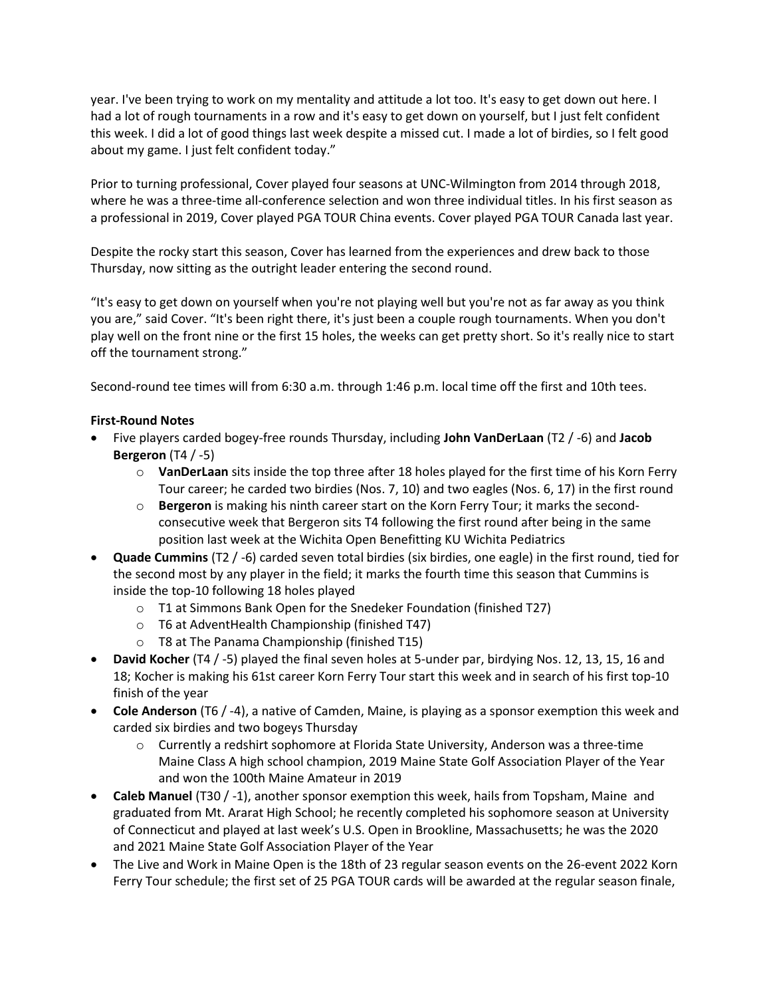year. I've been trying to work on my mentality and attitude a lot too. It's easy to get down out here. I had a lot of rough tournaments in a row and it's easy to get down on yourself, but I just felt confident this week. I did a lot of good things last week despite a missed cut. I made a lot of birdies, so I felt good about my game. I just felt confident today."

Prior to turning professional, Cover played four seasons at UNC-Wilmington from 2014 through 2018, where he was a three-time all-conference selection and won three individual titles. In his first season as a professional in 2019, Cover played PGA TOUR China events. Cover played PGA TOUR Canada last year.

Despite the rocky start this season, Cover has learned from the experiences and drew back to those Thursday, now sitting as the outright leader entering the second round.

"It's easy to get down on yourself when you're not playing well but you're not as far away as you think you are," said Cover. "It's been right there, it's just been a couple rough tournaments. When you don't play well on the front nine or the first 15 holes, the weeks can get pretty short. So it's really nice to start off the tournament strong."

Second-round tee times will from 6:30 a.m. through 1:46 p.m. local time off the first and 10th tees.

## First-Round Notes

- Five players carded bogey-free rounds Thursday, including John VanDerLaan (T2 / -6) and Jacob Bergeron  $(T4 / -5)$ 
	- $\circ$  VanDerLaan sits inside the top three after 18 holes played for the first time of his Korn Ferry Tour career; he carded two birdies (Nos. 7, 10) and two eagles (Nos. 6, 17) in the first round
	- $\circ$  Bergeron is making his ninth career start on the Korn Ferry Tour; it marks the secondconsecutive week that Bergeron sits T4 following the first round after being in the same position last week at the Wichita Open Benefitting KU Wichita Pediatrics
- Quade Cummins (T2 / -6) carded seven total birdies (six birdies, one eagle) in the first round, tied for the second most by any player in the field; it marks the fourth time this season that Cummins is inside the top-10 following 18 holes played
	- o T1 at Simmons Bank Open for the Snedeker Foundation (finished T27)
	- o T6 at AdventHealth Championship (finished T47)
	- o T8 at The Panama Championship (finished T15)
- David Kocher (T4 / -5) played the final seven holes at 5-under par, birdying Nos. 12, 13, 15, 16 and 18; Kocher is making his 61st career Korn Ferry Tour start this week and in search of his first top-10 finish of the year
- Cole Anderson (T6 / -4), a native of Camden, Maine, is playing as a sponsor exemption this week and carded six birdies and two bogeys Thursday
	- $\circ$  Currently a redshirt sophomore at Florida State University, Anderson was a three-time Maine Class A high school champion, 2019 Maine State Golf Association Player of the Year and won the 100th Maine Amateur in 2019
- Caleb Manuel (T30 / -1), another sponsor exemption this week, hails from Topsham, Maine and graduated from Mt. Ararat High School; he recently completed his sophomore season at University of Connecticut and played at last week's U.S. Open in Brookline, Massachusetts; he was the 2020 and 2021 Maine State Golf Association Player of the Year
- The Live and Work in Maine Open is the 18th of 23 regular season events on the 26-event 2022 Korn Ferry Tour schedule; the first set of 25 PGA TOUR cards will be awarded at the regular season finale,